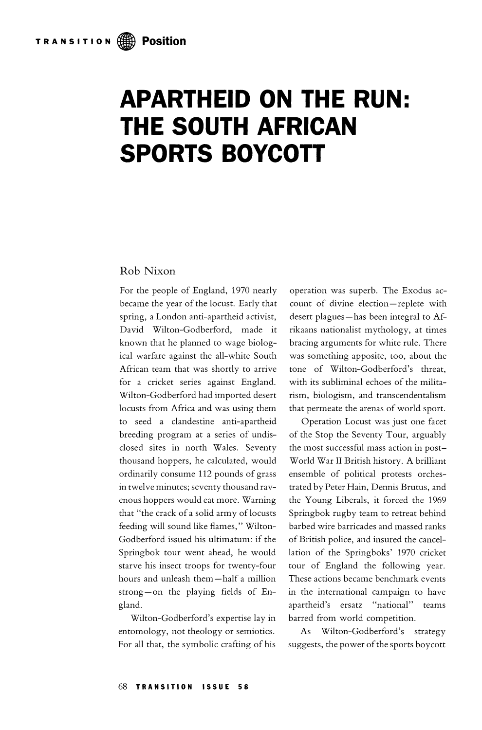# **APARTHEID ON THE RUN: THE SOUTH AFRICAN SPORTS BOYCOTT**

#### **Rob Nixon**

**For the people of England, 1970 nearly became the year of the locust. Early that spring, a London anti-apartheid activist, David Wilton-Godberford, made it known that he planned to wage biological warfare against the all-white South African team that was shortly to arrive for a cricket series against England. Wilton-Godberford had imported desert locusts from Africa and was using them to seed a clandestine anti-apartheid breeding program at a series of undisclosed sites in north Wales. Seventy thousand hoppers, he calculated, would ordinarily consume 112 pounds of grass in twelve minutes; seventy thousand ravenous hoppers would eat more. Warning that "the crack of a solid army of locusts feeding will sound like flames," Wilton-Godberford issued his ultimatum: if the Springbok tour went ahead, he would starve his insect troops for twenty-four hours and unleash them-half a million strong-on the playing fields of England.** 

**Wilton-Godberford's expertise lay in entomology, not theology or semiotics. For all that, the symbolic crafting of his**  **operation was superb. The Exodus account of divine election-replete with desert plagues-has been integral to Afrikaans nationalist mythology, at times bracing arguments for white rule. There was something apposite, too, about the tone of Wilton-Godberford's threat, with its subliminal echoes of the militarism, biologism, and transcendentalism that permeate the arenas of world sport.** 

**Operation Locust was just one facet of the Stop the Seventy Tour, arguably the most successful mass action in post-World War II British history. A brilliant ensemble of political protests orchestrated by Peter Hain, Dennis Brutus, and the Young Liberals, it forced the 1969 Springbok rugby team to retreat behind barbed wire barricades and massed ranks of British police, and insured the cancellation of the Springboks' 1970 cricket tour of England the following year. These actions became benchmark events in the international campaign to have apartheid's ersatz "national" teams barred from world competition.** 

**As Wilton-Godberford's strategy suggests, the power of the sports boycott**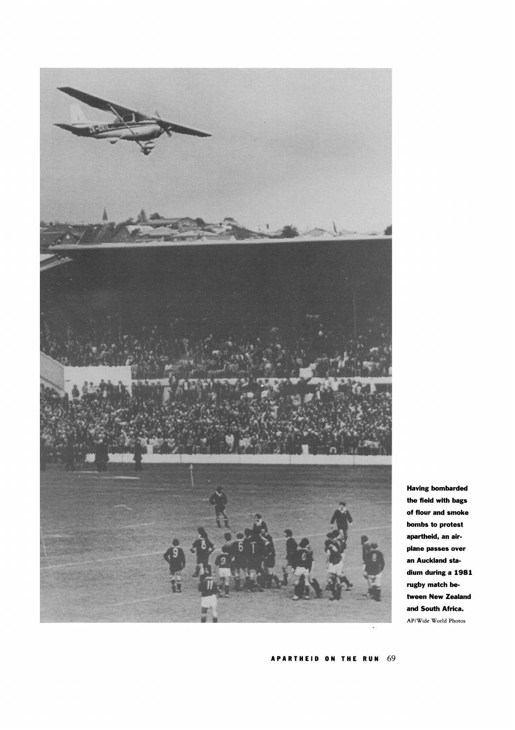

**Having bombarded** the field with bags of flour and smoke bombs to protest apartheid, an airplane passes over an Auckland stadium during a 1981 rugby match between New Zealand and South Africa. AP/Wide World Photos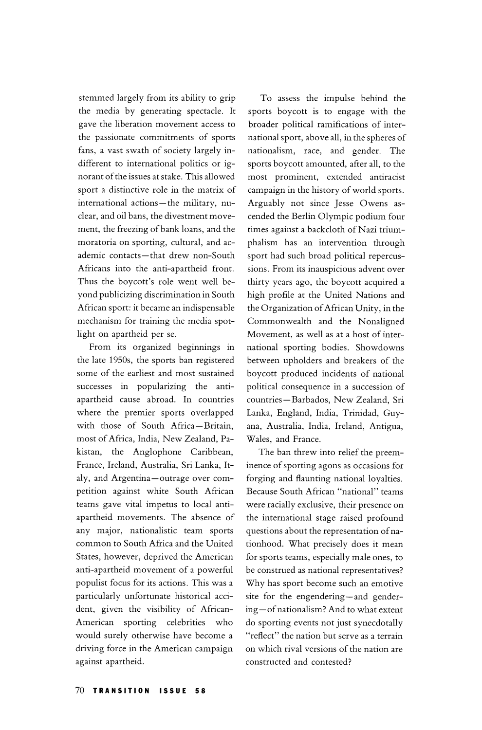**stemmed largely from its ability to grip the media by generating spectacle. It gave the liberation movement access to the passionate commitments of sports fans, a vast swath of society largely indifferent to international politics or ignorant of the issues at stake. This allowed sport a distinctive role in the matrix of**  international actions-the military, nu**clear, and oil bans, the divestment movement, the freezing of bank loans, and the moratoria on sporting, cultural, and academic contacts-that drew non-South Africans into the anti-apartheid front. Thus the boycott's role went well beyond publicizing discrimination in South African sport: it became an indispensable mechanism for training the media spotlight on apartheid per se.** 

**From its organized beginnings in the late 1950s, the sports ban registered some of the earliest and most sustained successes in popularizing the antiapartheid cause abroad. In countries where the premier sports overlapped with those of South Africa-Britain, most of Africa, India, New Zealand, Pakistan, the Anglophone Caribbean, France, Ireland, Australia, Sri Lanka, Italy, and Argentina-outrage over competition against white South African teams gave vital impetus to local antiapartheid movements. The absence of any major, nationalistic team sports common to South Africa and the United States, however, deprived the American anti-apartheid movement of a powerful populist focus for its actions. This was a particularly unfortunate historical accident, given the visibility of African-American sporting celebrities who would surely otherwise have become a driving force in the American campaign against apartheid.** 

**To assess the impulse behind the sports boycott is to engage with the broader political ramifications of international sport, above all, in the spheres of nationalism, race, and gender. The sports boycott amounted, after all, to the most prominent, extended antiracist campaign in the history of world sports. Arguably not since Jesse Owens ascended the Berlin Olympic podium four times against a backcloth of Nazi triumphalism has an intervention through sport had such broad political repercussions. From its inauspicious advent over thirty years ago, the boycott acquired a high profile at the United Nations and the Organization of African Unity, in the Commonwealth and the Nonaligned Movement, as well as at a host of international sporting bodies. Showdowns between upholders and breakers of the boycott produced incidents of national political consequence in a succession of countries-Barbados, New Zealand, Sri Lanka, England, India, Trinidad, Guyana, Australia, India, Ireland, Antigua, Wales, and France.** 

**The ban threw into relief the preeminence of sporting agons as occasions for forging and flaunting national loyalties. Because South African "national" teams were racially exclusive, their presence on the international stage raised profound questions about the representation of nationhood. What precisely does it mean for sports teams, especially male ones, to be construed as national representatives? Why has sport become such an emotive site for the engendering-and gendering-of nationalism? And to what extent do sporting events not just synecdotally "reflect" the nation but serve as a terrain on which rival versions of the nation are constructed and contested?**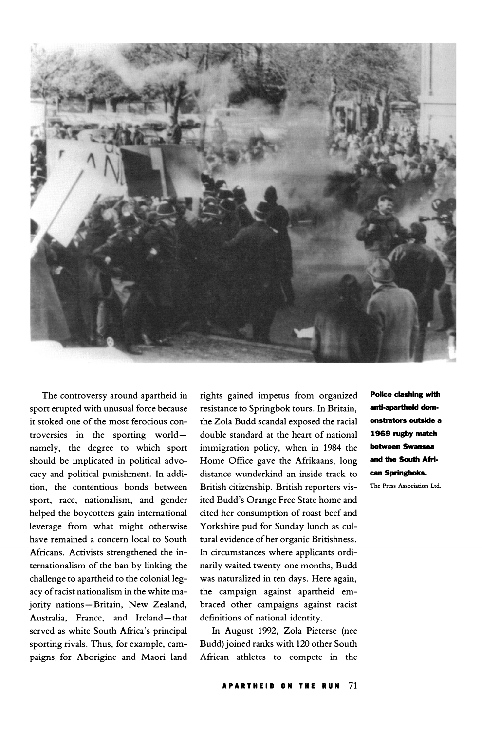

**The controversy around apartheid in sport erupted with unusual force because it stoked one of the most ferocious controversies in the sporting worldnamely, the degree to which sport should be implicated in political advocacy and political punishment. In addition, the contentious bonds between sport, race, nationalism, and gender helped the boycotters gain international leverage from what might otherwise have remained a concern local to South Africans. Activists strengthened the internationalism of the ban by linking the challenge to apartheid to the colonial legacy of racist nationalism in the white majority nations-Britain, New Zealand,**  Australia, France, and Ireland-that **served as white South Africa's principal sporting rivals. Thus, for example, campaigns for Aborigine and Maori land**  **rights gained impetus from organized resistance to Springbok tours. In Britain, the Zola Budd scandal exposed the racial double standard at the heart of national immigration policy, when in 1984 the Home Office gave the Afrikaans, long distance wunderkind an inside track to British citizenship. British reporters visited Budd's Orange Free State home and cited her consumption of roast beef and Yorkshire pud for Sunday lunch as cultural evidence of her organic Britishness. In circumstances where applicants ordinarily waited twenty-one months, Budd was naturalized in ten days. Here again, the campaign against apartheid embraced other campaigns against racist definitions of national identity.** 

**In August 1992, Zola Pieterse (nee Budd) joined ranks with 120 other South African athletes to compete in the** 

**Police cashing with anti-apartheid demonstrators outside a 1969 rugby match between Swansea and the South Afri**can Springboks.

**The Press Association Ltd.**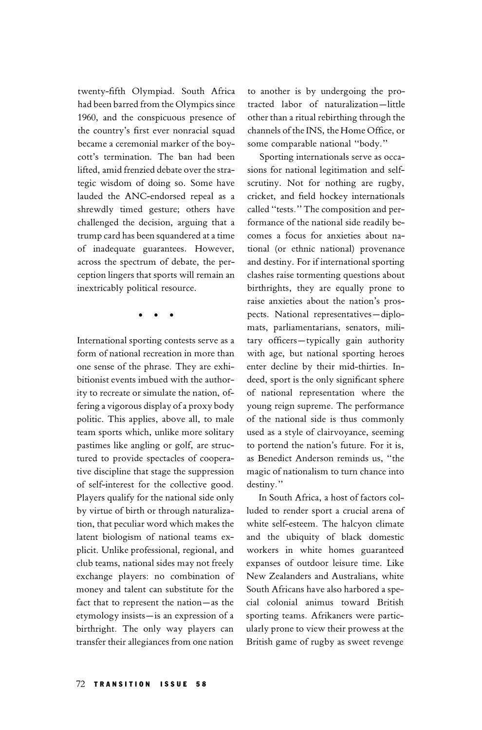**twenty-fifth Olympiad. South Africa had been barred from the Olympics since 1960, and the conspicuous presence of the country's first ever nonracial squad became a ceremonial marker of the boycott's termination. The ban had been lifted, amid frenzied debate over the strategic wisdom of doing so. Some have lauded the ANC-endorsed repeal as a shrewdly timed gesture; others have challenged the decision, arguing that a trump card has been squandered at a time of inadequate guarantees. However, across the spectrum of debate, the perception lingers that sports will remain an inextricably political resource.** 

**International sporting contests serve as a form of national recreation in more than one sense of the phrase. They are exhibitionist events imbued with the authority to recreate or simulate the nation, offering a vigorous display of a proxy body politic. This applies, above all, to male team sports which, unlike more solitary pastimes like angling or golf, are structured to provide spectacles of cooperative discipline that stage the suppression of self-interest for the collective good. Players qualify for the national side only by virtue of birth or through naturalization, that peculiar word which makes the latent biologism of national teams explicit. Unlike professional, regional, and club teams, national sides may not freely exchange players: no combination of money and talent can substitute for the fact that to represent the nation-as the etymology insists-is an expression of a birthright. The only way players can transfer their allegiances from one nation** 

**to another is by undergoing the protracted labor of naturalization-little other than a ritual rebirthing through the channels of the INS, the Home Office, or some comparable national "body."** 

**Sporting internationals serve as occasions for national legitimation and selfscrutiny. Not for nothing are rugby, cricket, and field hockey internationals called "tests." The composition and performance of the national side readily becomes a focus for anxieties about national (or ethnic national) provenance and destiny. For if international sporting clashes raise tormenting questions about birthrights, they are equally prone to raise anxieties about the nation's pros**pects. National representatives-diplo**mats, parliamentarians, senators, military officers--typically gain authority with age, but national sporting heroes enter decline by their mid-thirties. Indeed, sport is the only significant sphere of national representation where the young reign supreme. The performance of the national side is thus commonly used as a style of clairvoyance, seeming to portend the nation's future. For it is, as Benedict Anderson reminds us, "the magic of nationalism to turn chance into destiny."** 

**In South Africa, a host of factors colluded to render sport a crucial arena of white self-esteem. The halcyon climate and the ubiquity of black domestic workers in white homes guaranteed expanses of outdoor leisure time. Like New Zealanders and Australians, white South Africans have also harbored a special colonial animus toward British sporting teams. Afrikaners were particularly prone to view their prowess at the British game of rugby as sweet revenge**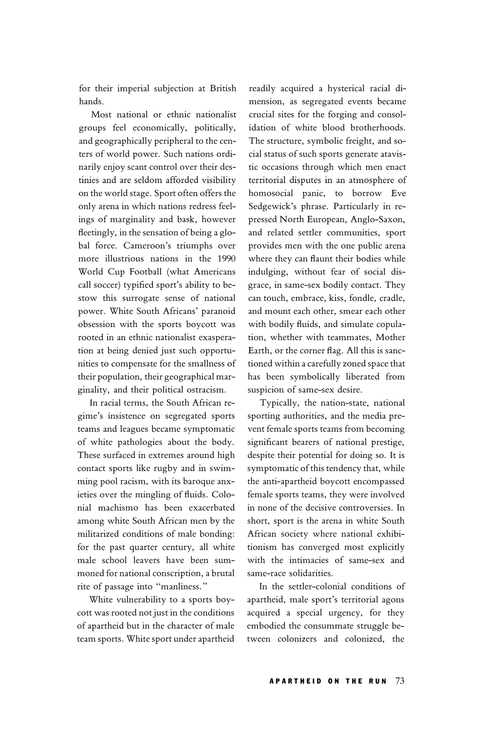**for their imperial subjection at British hands.** 

**Most national or ethnic nationalist groups feel economically, politically, and geographically peripheral to the centers of world power. Such nations ordinarily enjoy scant control over their destinies and are seldom afforded visibility on the world stage. Sport often offers the only arena in which nations redress feelings of marginality and bask, however fleetingly, in the sensation of being a global force. Cameroon's triumphs over more illustrious nations in the 1990 World Cup Football (what Americans call soccer) typified sport's ability to bestow this surrogate sense of national power. White South Africans' paranoid obsession with the sports boycott was rooted in an ethnic nationalist exasperation at being denied just such opportunities to compensate for the smallness of their population, their geographical marginality, and their political ostracism.** 

**In racial terms, the South African regime's insistence on segregated sports teams and leagues became symptomatic of white pathologies about the body. These surfaced in extremes around high contact sports like rugby and in swimming pool racism, with its baroque anxieties over the mingling of fluids. Colonial machismo has been exacerbated among white South African men by the militarized conditions of male bonding: for the past quarter century, all white male school leavers have been summoned for national conscription, a brutal rite of passage into "manliness."** 

**White vulnerability to a sports boycott was rooted not just in the conditions of apartheid but in the character of male team sports. White sport under apartheid** 

**readily acquired a hysterical racial dimension, as segregated events became crucial sites for the forging and consolidation of white blood brotherhoods. The structure, symbolic freight, and social status of such sports generate atavistic occasions through which men enact territorial disputes in an atmosphere of homosocial panic, to borrow Eve Sedgewick's phrase. Particularly in repressed North European, Anglo-Saxon, and related settler communities, sport provides men with the one public arena where they can flaunt their bodies while indulging, without fear of social disgrace, in same-sex bodily contact. They can touch, embrace, kiss, fondle, cradle, and mount each other, smear each other with bodily fluids, and simulate copulation, whether with teammates, Mother Earth, or the corner flag. All this is sanctioned within a carefully zoned space that has been symbolically liberated from suspicion of same-sex desire.** 

**Typically, the nation-state, national sporting authorities, and the media prevent female sports teams from becoming significant bearers of national prestige, despite their potential for doing so. It is symptomatic of this tendency that, while the anti-apartheid boycott encompassed female sports teams, they were involved in none of the decisive controversies. In short, sport is the arena in white South African society where national exhibitionism has converged most explicitly with the intimacies of same-sex and same-race solidarities.** 

**In the settler-colonial conditions of apartheid, male sport's territorial agons acquired a special urgency, for they embodied the consummate struggle between colonizers and colonized, the**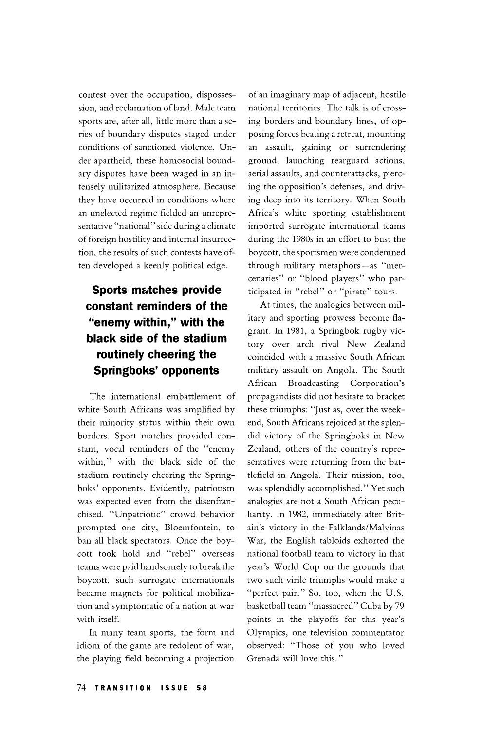**contest over the occupation, dispossession, and reclamation of land. Male team sports are, after all, little more than a series of boundary disputes staged under conditions of sanctioned violence. Under apartheid, these homosocial boundary disputes have been waged in an intensely militarized atmosphere. Because they have occurred in conditions where an unelected regime fielded an unrepresentative "national" side during a climate of foreign hostility and internal insurrection, the results of such contests have often developed a keenly political edge.** 

## **Sports matches provide constant reminders of the "enemy within," with the black side of the stadium routinely cheering the Springboks' opponents**

**The international embattlement of white South Africans was amplified by their minority status within their own borders. Sport matches provided constant, vocal reminders of the "enemy within," with the black side of the stadium routinely cheering the Springboks' opponents. Evidently, patriotism was expected even from the disenfranchised. "Unpatriotic" crowd behavior prompted one city, Bloemfontein, to ban all black spectators. Once the boycott took hold and "rebel" overseas teams were paid handsomely to break the boycott, such surrogate internationals became magnets for political mobilization and symptomatic of a nation at war with itself.** 

**In many team sports, the form and idiom of the game are redolent of war, the playing field becoming a projection** 

**of an imaginary map of adjacent, hostile national territories. The talk is of crossing borders and boundary lines, of opposing forces beating a retreat, mounting an assault, gaining or surrendering ground, launching rearguard actions, aerial assaults, and counterattacks, piercing the opposition's defenses, and driving deep into its territory. When South Africa's white sporting establishment imported surrogate international teams during the 1980s in an effort to bust the boycott, the sportsmen were condemned through military metaphors-as "mercenaries" or "blood players" who participated in "rebel" or "pirate" tours.** 

**At times, the analogies between military and sporting prowess become flagrant. In 1981, a Springbok rugby victory over arch rival New Zealand coincided with a massive South African military assault on Angola. The South African Broadcasting Corporation's propagandists did not hesitate to bracket these triumphs: "Just as, over the weekend, South Africans rejoiced at the splendid victory of the Springboks in New Zealand, others of the country's representatives were returning from the battlefield in Angola. Their mission, too, was splendidly accomplished." Yet such analogies are not a South African peculiarity. In 1982, immediately after Britain's victory in the Falklands/Malvinas War, the English tabloids exhorted the national football team to victory in that year's World Cup on the grounds that two such virile triumphs would make a "perfect pair." So, too, when the U.S. basketball team "massacred" Cuba by 79 points in the playoffs for this year's Olympics, one television commentator observed: "Those of you who loved Grenada will love this."**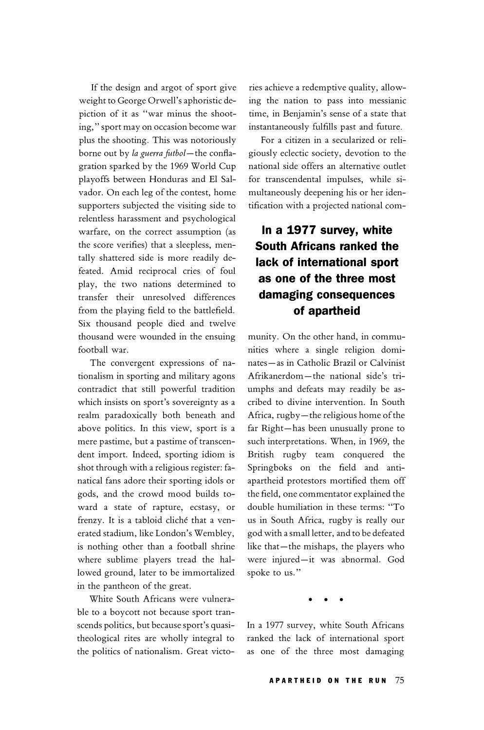**If the design and argot of sport give weight to George Orwell's aphoristic depiction of it as "war minus the shooting," sport may on occasion become war plus the shooting. This was notoriously**  borne out by la guerra futbol-the confla**gration sparked by the 1969 World Cup playoffs between Honduras and El Salvador. On each leg of the contest, home supporters subjected the visiting side to relentless harassment and psychological warfare, on the correct assumption (as the score verifies) that a sleepless, mentally shattered side is more readily defeated. Amid reciprocal cries of foul play, the two nations determined to transfer their unresolved differences from the playing field to the battlefield. Six thousand people died and twelve thousand were wounded in the ensuing football war.** 

**The convergent expressions of nationalism in sporting and military agons contradict that still powerful tradition which insists on sport's sovereignty as a realm paradoxically both beneath and above politics. In this view, sport is a mere pastime, but a pastime of transcendent import. Indeed, sporting idiom is shot through with a religious register: fanatical fans adore their sporting idols or gods, and the crowd mood builds toward a state of rapture, ecstasy, or frenzy. It is a tabloid cliche that a venerated stadium, like London's Wembley, is nothing other than a football shrine where sublime players tread the hallowed ground, later to be immortalized in the pantheon of the great.** 

**White South Africans were vulnerable to a boycott not because sport transcends politics, but because sport's quasitheological rites are wholly integral to the politics of nationalism. Great victo-**

**ries achieve a redemptive quality, allowing the nation to pass into messianic time, in Benjamin's sense of a state that instantaneously fulfills past and future.** 

**For a citizen in a secularized or religiously eclectic society, devotion to the national side offers an alternative outlet for transcendental impulses, while simultaneously deepening his or her identification with a projected national com-**

## **In a 1977 survey, white South Africans ranked the lack of international sport as one of the three most damaging consequences of apartheid**

**munity. On the other hand, in communities where a single religion dominates-as in Catholic Brazil or Calvinist Afrikanerdom-the national side's triumphs and defeats may readily be ascribed to divine intervention. In South Africa, rugby-the religious home of the far Right-has been unusually prone to such interpretations. When, in 1969, the British rugby team conquered the Springboks on the field and antiapartheid protestors mortified them off the field, one commentator explained the double humiliation in these terms: "To us in South Africa, rugby is really our god with a small letter, and to be defeated like that-the mishaps, the players who were injured-it was abnormal. God spoke to us."** 

**In a 1977 survey, white South Africans ranked the lack of international sport as one of the three most damaging**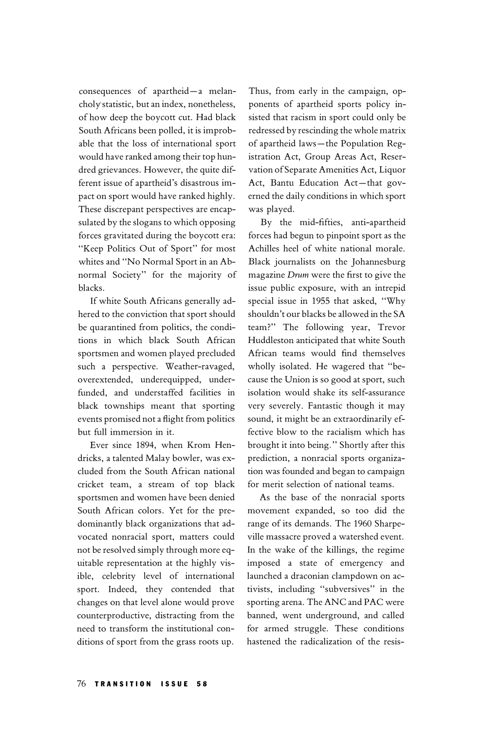**consequences of apartheid-a melancholy'statistic, but an index, nonetheless, of how deep the boycott cut. Had black South Africans been polled, it is improbable that the loss of international sport would have ranked among their top hundred grievances. However, the quite different issue of apartheid's disastrous impact on sport would have ranked highly. These discrepant perspectives are encapsulated by the slogans to which opposing forces gravitated during the boycott era: "Keep Politics Out of Sport" for most whites and "No Normal Sport in an Abnormal Society" for the majority of blacks.** 

**If white South Africans generally adhered to the conviction that sport should be quarantined from politics, the conditions in which black South African sportsmen and women played precluded such a perspective. Weather-ravaged, overextended, underequipped, underfunded, and understaffed facilities in black townships meant that sporting events promised not a flight from politics but full immersion in it.** 

**Ever since 1894, when Krom Hendricks, a talented Malay bowler, was excluded from the South African national cricket team, a stream of top black sportsmen and women have been denied South African colors. Yet for the predominantly black organizations that advocated nonracial sport, matters could not be resolved simply through more equitable representation at the highly visible, celebrity level of international sport. Indeed, they contended that changes on that level alone would prove counterproductive, distracting from the need to transform the institutional conditions of sport from the grass roots up.** 

**Thus, from early in the campaign, opponents of apartheid sports policy insisted that racism in sport could only be redressed by rescinding the whole matrix of apartheid laws-the Population Registration Act, Group Areas Act, Reservation of Separate Amenities Act, Liquor**  Act, Bantu Education Act-that gov**erned the daily conditions in which sport was played.** 

**By the mid-fifties, anti-apartheid forces had begun to pinpoint sport as the Achilles heel of white national morale. Black journalists on the Johannesburg magazine Drum were the first to give the issue public exposure, with an intrepid special issue in 1955 that asked, "Why shouldn't our blacks be allowed in the SA team?" The following year, Trevor Huddleston anticipated that white South African teams would find themselves wholly isolated. He wagered that "because the Union is so good at sport, such isolation would shake its self-assurance very severely. Fantastic though it may sound, it might be an extraordinarily effective blow to the racialism which has brought it into being." Shortly after this prediction, a nonracial sports organization was founded and began to campaign for merit selection of national teams.** 

**As the base of the nonracial sports movement expanded, so too did the range of its demands. The 1960 Sharpeville massacre proved a watershed event. In the wake of the killings, the regime imposed a state of emergency and launched a draconian clampdown on activists, including "subversives" in the sporting arena. The ANC and PAC were banned, went underground, and called for armed struggle. These conditions hastened the radicalization of the resis-**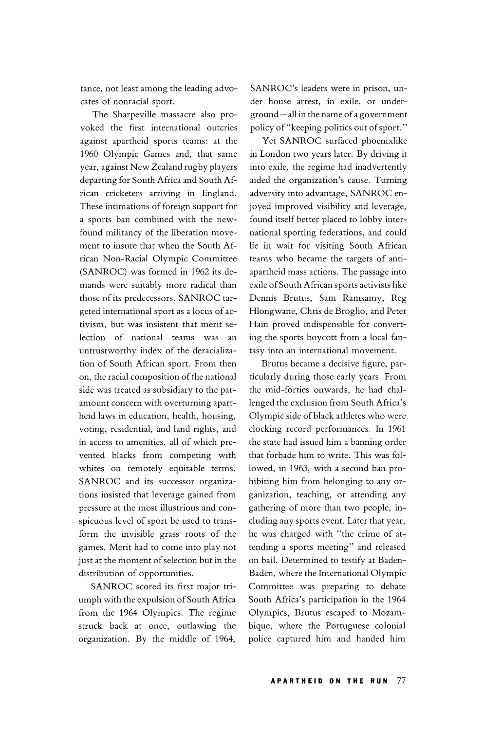**tance, not least among the leading advocates of nonracial sport.** 

**The Sharpeville massacre also provoked the first international outcries against apartheid sports teams: at the 1960 Olympic Games and, that same year, against New Zealand rugby players departing for South Africa and South African cricketers arriving in England. These intimations of foreign support for a sports ban combined with the newfound militancy of the liberation movement to insure that when the South African Non-Racial Olympic Committee (SANROC) was formed in 1962 its demands were suitably more radical than those of its predecessors. SANROC targeted international sport as a locus of activism, but was insistent that merit selection of national teams was an untrustworthy index of the deracialization of South African sport. From then on, the racial composition of the national side was treated as subsidiary to the paramount concern with overturning apartheid laws in education, health, housing, voting, residential, and land rights, and in access to amenities, all of which prevented blacks from competing with whites on remotely equitable terms. SANROC and its successor organizations insisted that leverage gained from pressure at the most illustrious and conspicuous level of sport be used to transform the invisible grass roots of the games. Merit had to come into play not just at the moment of selection but in the distribution of opportunities.** 

**SANROC scored its first major triumph with the expulsion of South Africa from the 1964 Olympics. The regime struck back at once, outlawing the organization. By the middle of 1964,** 

**SANROC's leaders were in prison, under house arrest, in exile, or underground-all in the name of a government policy of "keeping politics out of sport."** 

**Yet SANROC surfaced phoenixlike in London two years later. By driving it into exile, the regime had inadvertently aided the organization's cause. Turning adversity into advantage, SANROC enjoyed improved visibility and leverage, found itself better placed to lobby international sporting federations, and could lie in wait for visiting South African teams who became the targets of antiapartheid mass actions. The passage into exile of South African sports activists like Dennis Brutus, Sam Ramsamy, Reg Hlongwane, Chris de Broglio, and Peter Hain proved indispensible for converting the sports boycott from a local fantasy into an international movement.** 

**Brutus became a decisive figure, particularly during those early years. From the mid-forties onwards, he had challenged the exclusion from South Africa's Olympic side of black athletes who were clocking record performances. In 1961 the state had issued him a banning order that forbade him to write. This was followed, in 1963, with a second ban prohibiting him from belonging to any organization, teaching, or attending any gathering of more than two people, including any sports event. Later that year, he was charged with "the crime of attending a sports meeting" and released on bail. Determined to testify at Baden-Baden, where the International Olympic Committee was preparing to debate South Africa's participation in the 1964 Olympics, Brutus escaped to Mozambique, where the Portuguese colonial police captured him and handed him**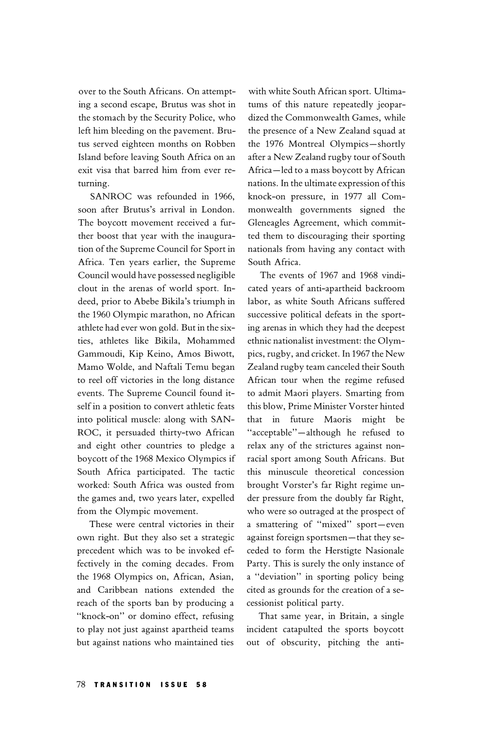**over to the South Africans. On attempting a second escape, Brutus was shot in the stomach by the Security Police, who left him bleeding on the pavement. Brutus served eighteen months on Robben Island before leaving South Africa on an exit visa that barred him from ever returning.** 

**SANROC was refounded in 1966, soon after Brutus's arrival in London. The boycott movement received a further boost that year with the inauguration of the Supreme Council for Sport in Africa. Ten years earlier, the Supreme Council would have possessed negligible clout in the arenas of world sport. Indeed, prior to Abebe Bikila's triumph in the 1960 Olympic marathon, no African athlete had ever won gold. But in the sixties, athletes like Bikila, Mohammed Gammoudi, Kip Keino, Amos Biwott, Mamo Wolde, and Naftali Temu began to reel off victories in the long distance events. The Supreme Council found itself in a position to convert athletic feats into political muscle: along with SAN-ROC, it persuaded thirty-two African and eight other countries to pledge a boycott of the 1968 Mexico Olympics if South Africa participated. The tactic worked: South Africa was ousted from the games and, two years later, expelled from the Olympic movement.** 

**These were central victories in their own right. But they also set a strategic precedent which was to be invoked effectively in the coming decades. From the 1968 Olympics on, African, Asian, and Caribbean nations extended the reach of the sports ban by producing a "knock-on" or domino effect, refusing to play not just against apartheid teams but against nations who maintained ties** 

**with white South African sport. Ultimatums of this nature repeatedly jeopardized the Commonwealth Games, while the presence of a New Zealand squad at the 1976 Montreal Olympics-shortly after a New Zealand rugby tour of South Africa-led to a mass boycott by African nations. In the ultimate expression of this knock-on pressure, in 1977 all Commonwealth governments signed the Gleneagles Agreement, which committed them to discouraging their sporting nationals from having any contact with South Africa.** 

**The events of 1967 and 1968 vindicated years of anti-apartheid backroom labor, as white South Africans suffered successive political defeats in the sporting arenas in which they had the deepest ethnic nationalist investment: the Olympics, rugby, and cricket. In 1967 the New Zealand rugby team canceled their South African tour when the regime refused to admit Maori players. Smarting from this blow, Prime Minister Vorster hinted that in future Maoris might be "acceptable" -although he refused to relax any of the strictures against nonracial sport among South Africans. But this minuscule theoretical concession brought Vorster's far Right regime under pressure from the doubly far Right, who were so outraged at the prospect of a smattering of "mixed" sport-even against foreign sportsmen-that they seceded to form the Herstigte Nasionale Party. This is surely the only instance of a "deviation" in sporting policy being cited as grounds for the creation of a secessionist political party.** 

**That same year, in Britain, a single incident catapulted the sports boycott out of obscurity, pitching the anti-**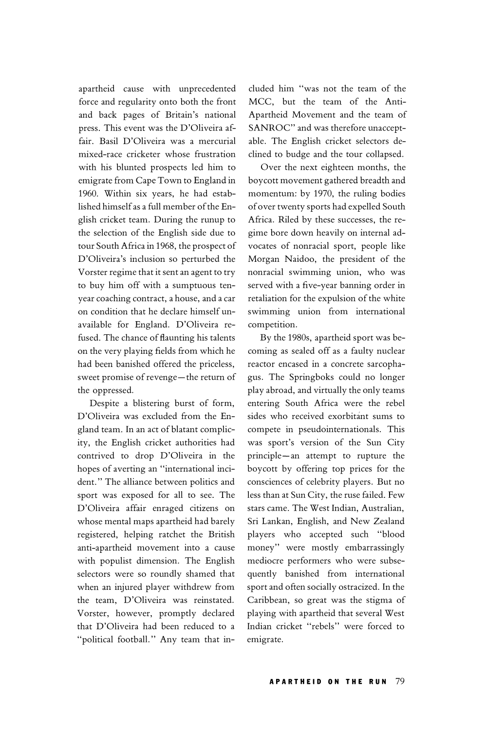**apartheid cause with unprecedented force and regularity onto both the front and back pages of Britain's national press. This event was the D'Oliveira affair. Basil D'Oliveira was a mercurial mixed-race cricketer whose frustration with his blunted prospects led him to emigrate from Cape Town to England in 1960. Within six years, he had established himself as a full member of the English cricket team. During the runup to the selection of the English side due to tour South Africa in 1968, the prospect of D'Oliveira's inclusion so perturbed the Vorster regime that it sent an agent to try to buy him off with a sumptuous tenyear coaching contract, a house, and a car on condition that he declare himself unavailable for England. D'Oliveira refused. The chance of flaunting his talents on the very playing fields from which he had been banished offered the priceless, sweet promise of revenge-the return of the oppressed.** 

**Despite a blistering burst of form, D'Oliveira was excluded from the England team. In an act of blatant complicity, the English cricket authorities had contrived to drop D'Oliveira in the hopes of averting an "international incident." The alliance between politics and sport was exposed for all to see. The D'Oliveira affair enraged citizens on whose mental maps apartheid had barely registered, helping ratchet the British anti-apartheid movement into a cause with populist dimension. The English selectors were so roundly shamed that when an injured player withdrew from the team, D'Oliveira was reinstated. Vorster, however, promptly declared that D'Oliveira had been reduced to a "political football." Any team that in-** **cluded him "was not the team of the MCC, but the team of the Anti-Apartheid Movement and the team of SANROC" and was therefore unacceptable. The English cricket selectors declined to budge and the tour collapsed.** 

**Over the next eighteen months, the boycott movement gathered breadth and momentum: by 1970, the ruling bodies of over twenty sports had expelled South Africa. Riled by these successes, the regime bore down heavily on internal advocates of nonracial sport, people like Morgan Naidoo, the president of the nonracial swimming union, who was served with a five-year banning order in retaliation for the expulsion of the white swimming union from international competition.** 

**By the 1980s, apartheid sport was becoming as sealed off as a faulty nuclear reactor encased in a concrete sarcophagus. The Springboks could no longer play abroad, and virtually the only teams entering South Africa were the rebel sides who received exorbitant sums to compete in pseudointernationals. This was sport's version of the Sun City principle-an attempt to rupture the boycott by offering top prices for the consciences of celebrity players. But no less than at Sun City, the ruse failed. Few stars came. The West Indian, Australian, Sri Lankan, English, and New Zealand players who accepted such "blood money" were mostly embarrassingly mediocre performers who were subsequently banished from international sport and often socially ostracized. In the Caribbean, so great was the stigma of playing with apartheid that several West Indian cricket "rebels" were forced to emigrate.**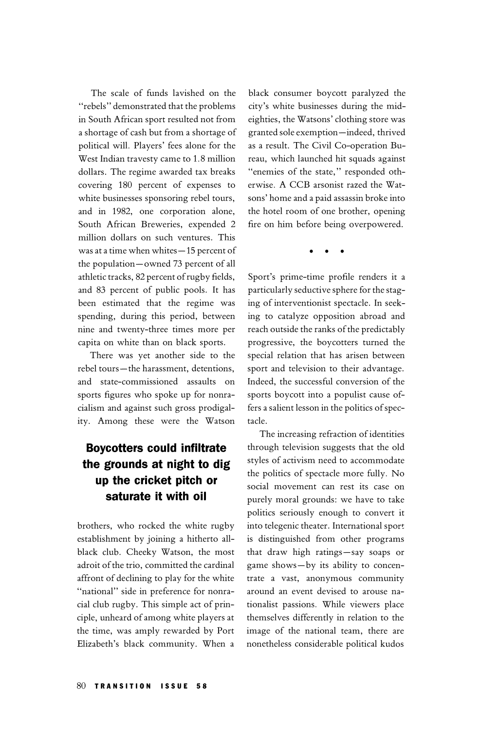**The scale of funds lavished on the "rebels" demonstrated that the problems in South African sport resulted not from a shortage of cash but from a shortage of political will. Players' fees alone for the West Indian travesty came to 1.8 million dollars. The regime awarded tax breaks covering 180 percent of expenses to white businesses sponsoring rebel tours, and in 1982, one corporation alone, South African Breweries, expended 2 million dollars on such ventures. This**  was at a time when whites - 15 percent of **the population--owned 73 percent of all athletic tracks, 82 percent of rugby fields, and 83 percent of public pools. It has been estimated that the regime was spending, during this period, between nine and twenty-three times more per capita on white than on black sports.** 

**There was yet another side to the rebel tours-the harassment, detentions, and state-commissioned assaults on sports figures who spoke up for nonracialism and against such gross prodigality. Among these were the Watson** 

#### **Boycotters could infiltrate the grounds at night to dig up the cricket pitch or saturate it with oil**

**brothers, who rocked the white rugby establishment by joining a hitherto allblack club. Cheeky Watson, the most adroit of the trio, committed the cardinal affront of declining to play for the white "national" side in preference for nonracial club rugby. This simple act of principle, unheard of among white players at the time, was amply rewarded by Port Elizabeth's black community. When a** 

**black consumer boycott paralyzed the city's white businesses during the mideighties, the Watsons' clothing store was granted sole exemption-indeed, thrived as a result. The Civil Co-operation Bureau, which launched hit squads against "enemies of the state," responded otherwise. A CCB arsonist razed the Watsons' home and a paid assassin broke into the hotel room of one brother, opening fire on him before being overpowered.** 

**Sport's prime-time profile renders it a particularly seductive sphere for the staging of interventionist spectacle. In seeking to catalyze opposition abroad and reach outside the ranks of the predictably progressive, the boycotters turned the special relation that has arisen between sport and television to their advantage. Indeed, the successful conversion of the sports boycott into a populist cause offers a salient lesson in the politics of spectacle.** 

**The increasing refraction of identities through television suggests that the old styles of activism need to accommodate the politics of spectacle more fully. No social movement can rest its case on purely moral grounds: we have to take politics seriously enough to convert it into telegenic theater. International sport is distinguished from other programs that draw high ratings-say soaps or game shows-by its ability to concentrate a vast, anonymous community around an event devised to arouse nationalist passions. While viewers place themselves differently in relation to the image of the national team, there are nonetheless considerable political kudos**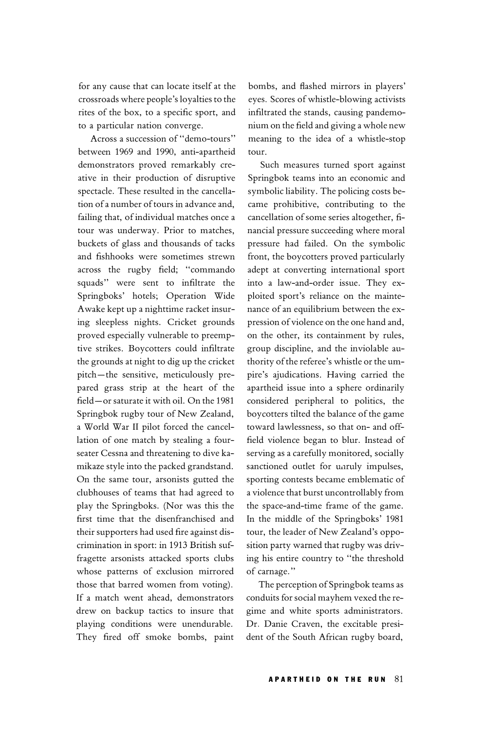**for any cause that can locate itself at the crossroads where people's loyalties to the rites of the box, to a specific sport, and to a particular nation converge.** 

**Across a succession of"demo-tours" between 1969 and 1990, anti-apartheid demonstrators proved remarkably creative in their production of disruptive spectacle. These resulted in the cancellation of a number of tours in advance and, failing that, of individual matches once a tour was underway. Prior to matches, buckets of glass and thousands of tacks and fishhooks were sometimes strewn across the rugby field; "commando squads" were sent to infiltrate the Springboks' hotels; Operation Wide Awake kept up a nighttime racket insuring sleepless nights. Cricket grounds proved especially vulnerable to preemptive strikes. Boycotters could infiltrate the grounds at night to dig up the cricket pitch-the sensitive, meticulously prepared grass strip at the heart of the field-or saturate it with oil. On the 1981 Springbok rugby tour of New Zealand, a World War II pilot forced the cancellation of one match by stealing a fourseater Cessna and threatening to dive kamikaze style into the packed grandstand. On the same tour, arsonists gutted the clubhouses of teams that had agreed to play the Springboks. (Nor was this the first time that the disenfranchised and their supporters had used fire against discrimination in sport: in 1913 British suffragette arsonists attacked sports clubs whose patterns of exclusion mirrored those that barred women from voting). If a match went ahead, demonstrators drew on backup tactics to insure that playing conditions were unendurable. They fired off smoke bombs, paint** 

**bombs, and flashed mirrors in players' eyes. Scores of whistle-blowing activists infiltrated the stands, causing pandemonium on the field and giving a whole new meaning to the idea of a whistle-stop tour.** 

**Such measures turned sport against Springbok teams into an economic and symbolic liability. The policing costs became prohibitive, contributing to the cancellation of some series altogether, financial pressure succeeding where moral pressure had failed. On the symbolic front, the boycotters proved particularly adept at converting international sport into a law-and-order issue. They exploited sport's reliance on the maintenance of an equilibrium between the expression of violence on the one hand and, on the other, its containment by rules, group discipline, and the inviolable authority of the referee's whistle or the umpire's ajudications. Having carried the apartheid issue into a sphere ordinarily considered peripheral to politics, the boycotters tilted the balance of the game toward lawlessness, so that on- and offfield violence began to blur. Instead of serving as a carefully monitored, socially sanctioned outlet for unruly impulses, sporting contests became emblematic of a violence that burst uncontrollably from the space-and-time frame of the game. In the middle of the Springboks' 1981 tour, the leader of New Zealand's opposition party warned that rugby was driving his entire country to "the threshold of carnage."** 

**The perception of Springbok teams as conduits for social mayhem vexed the regime and white sports administrators. Dr. Danie Craven, the excitable president of the South African rugby board,**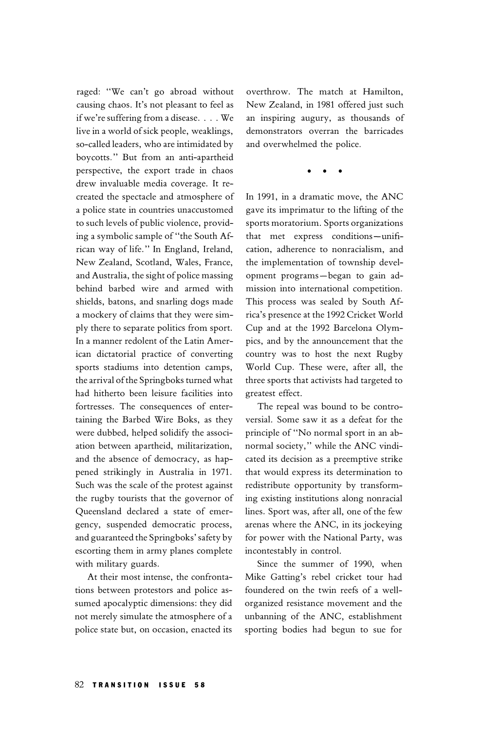**raged: "We can't go abroad without causing chaos. It's not pleasant to feel as if we're suffering from a disease. . .. .We live in a world of sick people, weaklings, so-called leaders, who are intimidated by boycotts." But from an anti-apartheid perspective, the export trade in chaos drew invaluable media coverage. It recreated the spectacle and atmosphere of a police state in countries unaccustomed to such levels of public violence, providing a symbolic sample of"the South African way of life." In England, Ireland, New Zealand, Scotland, Wales, France, and Australia, the sight of police massing behind barbed wire and armed with shields, batons, and snarling dogs made a mockery of claims that they were simply there to separate politics from sport. In a manner redolent of the Latin American dictatorial practice of converting sports stadiums into detention camps, the arrival of the Springboks turned what had hitherto been leisure facilities into fortresses. The consequences of entertaining the Barbed Wire Boks, as they were dubbed, helped solidify the association between apartheid, militarization, and the absence of democracy, as happened strikingly in Australia in 1971. Such was the scale of the protest against the rugby tourists that the governor of Queensland declared a state of emergency, suspended democratic process, and guaranteed the Springboks' safety by escorting them in army planes complete with military guards.** 

**At their most intense, the confrontations between protestors and police assumed apocalyptic dimensions: they did not merely simulate the atmosphere of a police state but, on occasion, enacted its** 

**overthrow. The match at Hamilton, New Zealand, in 1981 offered just such an inspiring augury, as thousands of demonstrators overran the barricades and overwhelmed the police.** 

**In 1991, in a dramatic move, the ANC gave its imprimatur to the lifting of the sports moratorium. Sports organizations**  that met express conditions-unifi**cation, adherence to nonracialism, and the implementation of township development programs-began to gain admission into international competition. This process was sealed by South Africa's presence at the 1992 Cricket World Cup and at the 1992 Barcelona Olympics, and by the announcement that the country was to host the next Rugby World Cup. These were, after all, the three sports that activists had targeted to greatest effect.** 

**The repeal was bound to be controversial. Some saw it as a defeat for the principle of "No normal sport in an abnormal society," while the ANC vindicated its decision as a preemptive strike that would express its determination to redistribute opportunity by transforming existing institutions along nonracial lines. Sport was, after all, one of the few arenas where the ANC, in its jockeying for power with the National Party, was incontestably in control.** 

**Since the summer of 1990, when Mike Gatting's rebel cricket tour had foundered on the twin reefs of a wellorganized resistance movement and the unbanning of the ANC, establishment sporting bodies had begun to sue for**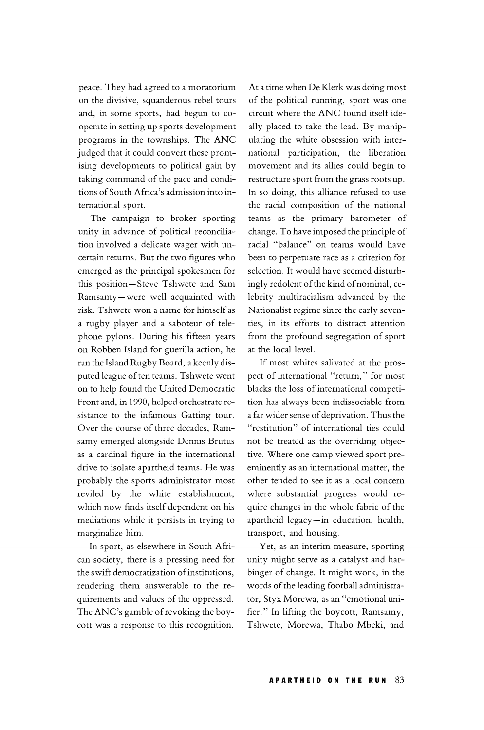**peace. They had agreed to a moratorium on the divisive, squanderous rebel tours and, in some sports, had begun to cooperate in setting up sports development programs in the townships. The ANC judged that it could convert these promising developments to political gain by taking command of the pace and conditions of South Africa's admission into international sport.** 

**The campaign to broker sporting unity in advance of political reconciliation involved a delicate wager with uncertain returns. But the two figures who emerged as the principal spokesmen for this position-Steve Tshwete and Sam Ramsamy-were well acquainted with risk. Tshwete won a name for himself as a rugby player and a saboteur of telephone pylons. During his fifteen years on Robben Island for guerilla action, he ran the Island Rugby Board, a keenly disputed league often teams. Tshwete went on to help found the United Democratic Front and, in 1990, helped orchestrate resistance to the infamous Gatting tour. Over the course of three decades, Ramsamy emerged alongside Dennis Brutus as a cardinal figure in the international drive to isolate apartheid teams. He was probably the sports administrator most reviled by the white establishment, which now finds itself dependent on his mediations while it persists in trying to marginalize him.** 

**In sport, as elsewhere in South African society, there is a pressing need for the swift democratization of institutions, rendering them answerable to the requirements and values of the oppressed. The ANC's gamble of revoking the boycott was a response to this recognition.** 

**At a time when De Klerk was doing most of the political running, sport was one circuit where the ANC found itself ideally placed to take the lead. By manipulating the white obsession with international participation, the liberation movement and its allies could begin to restructure sport from the grass roots up. In so doing, this alliance refused to use the racial composition of the national teams as the primary barometer of change. To have imposed the principle of racial "balance" on teams would have been to perpetuate race as a criterion for selection. It would have seemed disturbingly redolent of the kind of nominal, celebrity multiracialism advanced by the Nationalist regime since the early seventies, in its efforts to distract attention from the profound segregation of sport at the local level.** 

**If most whites salivated at the prospect of international "return," for most blacks the loss of international competition has always been indissociable from a far wider sense of deprivation. Thus the "restitution" of international ties could not be treated as the overriding objective. Where one camp viewed sport preeminently as an international matter, the other tended to see it as a local concern where substantial progress would require changes in the whole fabric of the apartheid legacy-in education, health, transport, and housing.** 

**Yet, as an interim measure, sporting unity might serve as a catalyst and harbinger of change. It might work, in the words of the leading football administrator, Styx Morewa, as an "emotional unifier." In lifting the boycott, Ramsamy, Tshwete, Morewa, Thabo Mbeki, and**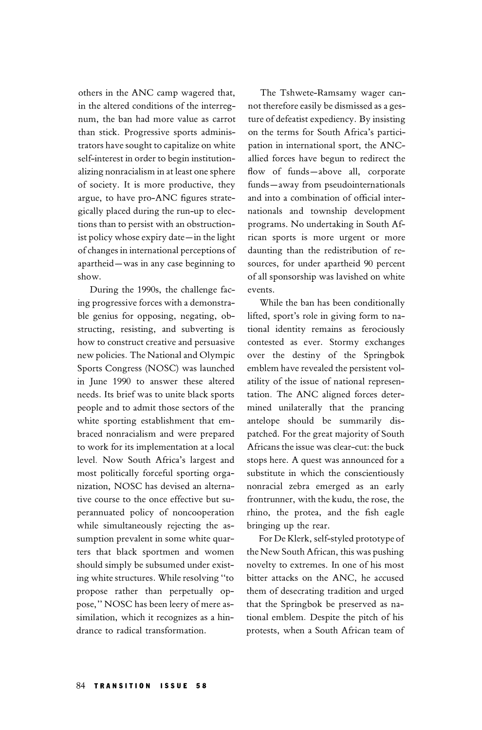**others in the ANC camp wagered that, in the altered conditions of the interregnum, the ban had more value as carrot than stick. Progressive sports administrators have sought to capitalize on white self-interest in order to begin institutionalizing nonracialism in at least one sphere of society. It is more productive, they argue, to have pro-ANC figures strategically placed during the run-up to elections than to persist with an obstructionist policy whose expiry date-in the light of changes in international perceptions of apartheid-was in any case beginning to show.** 

**During the 1990s, the challenge facing progressive forces with a demonstrable genius for opposing, negating, obstructing, resisting, and subverting is how to construct creative and persuasive new policies. The National and Olympic Sports Congress (NOSC) was launched in June 1990 to answer these altered needs. Its brief was to unite black sports people and to admit those sectors of the white sporting establishment that embraced nonracialism and were prepared to work for its implementation at a local level. Now South Africa's largest and most politically forceful sporting organization, NOSC has devised an alternative course to the once effective but superannuated policy of noncooperation while simultaneously rejecting the assumption prevalent in some white quarters that black sportmen and women should simply be subsumed under existing white structures. While resolving "to propose rather than perpetually oppose, " NOSC has been leery of mere assimilation, which it recognizes as a hindrance to radical transformation.** 

**The Tshwete-Ramsamy wager cannot therefore easily be dismissed as a gesture of defeatist expediency. By insisting on the terms for South Africa's participation in international sport, the ANCallied forces have begun to redirect the flow of funds-above all, corporate funds - away from pseudointernationals and into a combination of official internationals and township development programs. No undertaking in South African sports is more urgent or more daunting than the redistribution of resources, for under apartheid 90 percent of all sponsorship was lavished on white events.** 

**While the ban has been conditionally lifted, sport's role in giving form to national identity remains as ferociously contested as ever. Stormy exchanges over the destiny of the Springbok emblem have revealed the persistent volatility of the issue of national representation. The ANC aligned forces determined unilaterally that the prancing antelope should be summarily dispatched. For the great majority of South Africans the issue was clear-cut: the buck stops here. A quest was announced for a substitute in which the conscientiously nonracial zebra emerged as an early frontrunner, with the kudu, the rose, the rhino, the protea, and the fish eagle bringing up the rear.** 

**For De Klerk, self-styled prototype of the New South African, this was pushing novelty to extremes. In one of his most bitter attacks on the ANC, he accused them of desecrating tradition and urged that the Springbok be preserved as national emblem. Despite the pitch of his protests, when a South African team of**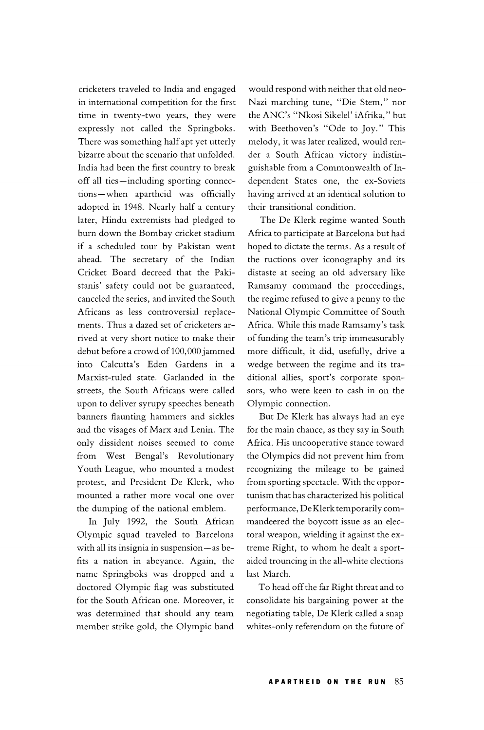**cricketers traveled to India and engaged in international competition for the first time in twenty-two years, they were expressly not called the Springboks. There was something half apt yet utterly bizarre about the scenario that unfolded. India had been the first country to break off all ties-including sporting connections-when apartheid was officially adopted in 1948. Nearly half a century later, Hindu extremists had pledged to burn down the Bombay cricket stadium if a scheduled tour by Pakistan went ahead. The secretary of the Indian Cricket Board decreed that the Pakistanis' safety could not be guaranteed, canceled the series, and invited the South Africans as less controversial replacements. Thus a dazed set of cricketers arrived at very short notice to make their debut before a crowd of 100,000 jammed into Calcutta's Eden Gardens in a Marxist-ruled state. Garlanded in the streets, the South Africans were called upon to deliver syrupy speeches beneath banners flaunting hammers and sickles and the visages of Marx and Lenin. The only dissident noises seemed to come from West Bengal's Revolutionary Youth League, who mounted a modest protest, and President De Klerk, who mounted a rather more vocal one over the dumping of the national emblem.** 

**In July 1992, the South African Olympic squad traveled to Barcelona**  with all its insignia in suspension-as be**fits a nation in abeyance. Again, the name Springboks was dropped and a doctored Olympic flag was substituted for the South African one. Moreover, it was determined that should any team member strike gold, the Olympic band** 

**would respond with neither that old neo-Nazi marching tune, "Die Stem," nor the ANC's "Nkosi Sikelel' iAfrika," but with Beethoven's "Ode to Joy." This melody, it was later realized, would render a South African victory indistinguishable from a Commonwealth of Independent States one, the ex-Soviets having arrived at an identical solution to their transitional condition.** 

**The De Klerk regime wanted South Africa to participate at Barcelona but had hoped to dictate the terms. As a result of the ructions over iconography and its distaste at seeing an old adversary like Ramsamy command the proceedings, the regime refused to give a penny to the National Olympic Committee of South Africa. While this made Ramsamy's task of funding the team's trip immeasurably more difficult, it did, usefully, drive a wedge between the regime and its traditional allies, sport's corporate sponsors, who were keen to cash in on the Olympic connection.** 

**But De Klerk has always had an eye for the main chance, as they say in South Africa. His uncooperative stance toward the Olympics did not prevent him from recognizing the mileage to be gained from sporting spectacle. With the opportunism that has characterized his political performance, De Klerk temporarily commandeered the boycott issue as an electoral weapon, wielding it against the extreme Right, to whom he dealt a sportaided trouncing in the all-white elections last March.** 

**To head off the far Right threat and to consolidate his bargaining power at the negotiating table, De Klerk called a snap whites-only referendum on the future of**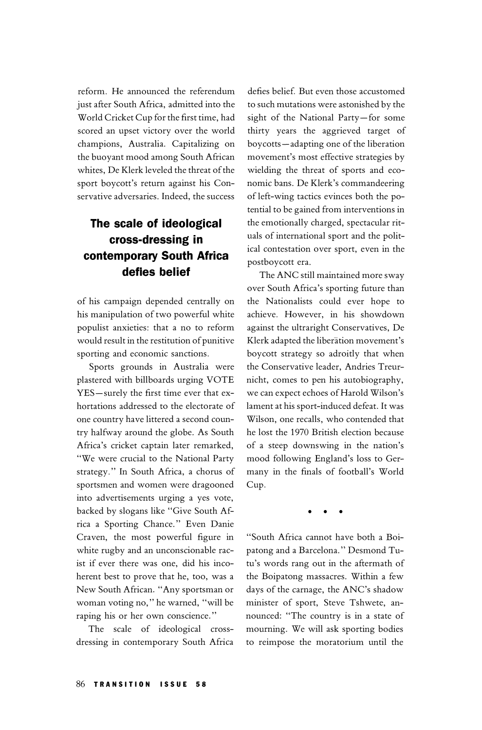**reform. He announced the referendum just after South Africa, admitted into the World Cricket Cup for the first time, had scored an upset victory over the world champions, Australia. Capitalizing on the buoyant mood among South African whites, De Klerk leveled the threat of the sport boycott's return against his Conservative adversaries. Indeed, the success** 

### **The scale of ideological cross-dressing in contemporary South Africa defies belief**

**of his campaign depended centrally on his manipulation of two powerful white populist anxieties: that a no to reform would result in the restitution of punitive sporting and economic sanctions.** 

**Sports grounds in Australia were plastered with billboards urging VOTE YES-surely the first time ever that exhortations addressed to the electorate of one country have littered a second country halfway around the globe. As South Africa's cricket captain later remarked, "We were crucial to the National Party strategy." In South Africa, a chorus of sportsmen and women were dragooned into advertisements urging a yes vote, backed by slogans like "Give South Africa a Sporting Chance." Even Danie Craven, the most powerful figure in white rugby and an unconscionable racist if ever there was one, did his incoherent best to prove that he, too, was a New South African. "Any sportsman or woman voting no," he warned, "will be raping his or her own conscience."** 

**The scale of ideological crossdressing in contemporary South Africa**  **defies belief. But even those accustomed to such mutations were astonished by the sight of the National Party-for some thirty years the aggrieved target of boycotts-adapting one of the liberation movement's most effective strategies by wielding the threat of sports and economic bans. De Klerk's commandeering of left-wing tactics evinces both the potential to be gained from interventions in the emotionally charged, spectacular rituals of international sport and the political contestation over sport, even in the postboycott era.** 

**The ANC still maintained more sway over South Africa's sporting future than the Nationalists could ever hope to achieve. However, in his showdown against the ultraright Conservatives, De Klerk adapted the liberation movement's boycott strategy so adroitly that when the Conservative leader, Andries Treurnicht, comes to pen his autobiography, we can expect echoes of Harold Wilson's lament at his sport-induced defeat. It was Wilson, one recalls, who contended that he lost the 1970 British election because of a steep downswing in the nation's mood following England's loss to Germany in the finals of football's World Cup.** 

**"South Africa cannot have both a Boipatong and a Barcelona." Desmond Tutu's words rang out in the aftermath of the Boipatong massacres. Within a few days of the carnage, the ANC's shadow minister of sport, Steve Tshwete, announced: "The country is in a state of mourning. We will ask sporting bodies to reimpose the moratorium until the**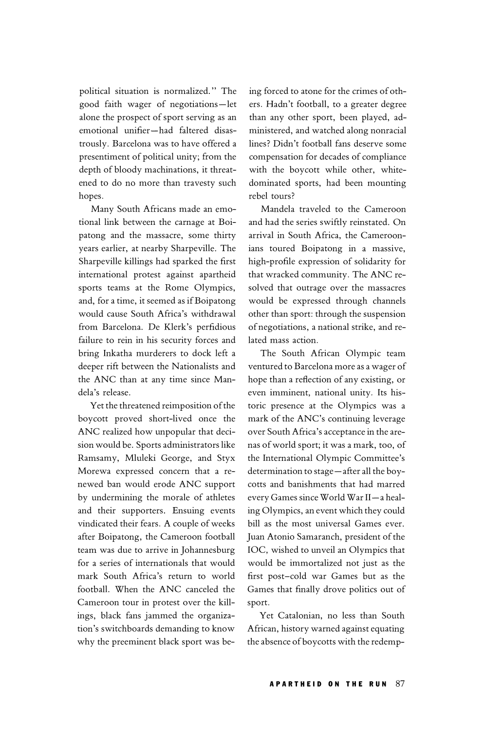**political situation is normalized." The good faith wager of negotiations-let alone the prospect of sport serving as an emotional unifier-had faltered disastrously. Barcelona was to have offered a presentiment of political unity; from the depth of bloody machinations, it threatened to do no more than travesty such hopes.** 

**Many South Africans made an emotional link between the carnage at Boipatong and the massacre, some thirty years earlier, at nearby Sharpeville. The Sharpeville killings had sparked the first international protest against apartheid sports teams at the Rome Olympics, and, for a time, it seemed as ifBoipatong would cause South Africa's withdrawal from Barcelona. De Klerk's perfidious failure to rein in his security forces and bring Inkatha murderers to dock left a deeper rift between the Nationalists and the ANC than at any time since Mandela's release.** 

**Yet the threatened reimposition of the boycott proved short-lived once the ANC realized how unpopular that decision would be. Sports administrators like Ramsamy, Mluleki George, and Styx Morewa expressed concern that a renewed ban would erode ANC support by undermining the morale of athletes and their supporters. Ensuing events vindicated their fears. A couple of weeks after Boipatong, the Cameroon football team was due to arrive in Johannesburg for a series of internationals that would mark South Africa's return to world football. When the ANC canceled the Cameroon tour in protest over the killings, black fans jammed the organization's switchboards demanding to know why the preeminent black sport was be-**

**ing forced to atone for the crimes of others. Hadn't football, to a greater degree than any other sport, been played, administered, and watched along nonracial lines? Didn't football fans deserve some compensation for decades of compliance with the boycott while other, whitedominated sports, had been mounting rebel tours?** 

**Mandela traveled to the Cameroon and had the series swiftly reinstated. On arrival in South Africa, the Cameroonians toured Boipatong in a massive, high-profile expression of solidarity for that wracked community. The ANC resolved that outrage over the massacres would be expressed through channels other than sport: through the suspension of negotiations, a national strike, and related mass action.** 

**The South African Olympic team ventured to Barcelona more as a wager of hope than a reflection of any existing, or even imminent, national unity. Its historic presence at the Olympics was a mark of the ANC's continuing leverage over South Africa's acceptance in the arenas of world sport; it was a mark, too, of the International Olympic Committee's**  determination to stage - after all the boy**cotts and banishments that had marred**  every Games since World War II-a heal**ing Olympics, an event which they could bill as the most universal Games ever. Juan Atonio Samaranch, president of the IOC, wished to unveil an Olympics that would be immortalized not just as the first post-cold war Games but as the Games that finally drove politics out of sport.** 

**Yet Catalonian, no less than South African, history warned against equating the absence of boycotts with the redemp-**